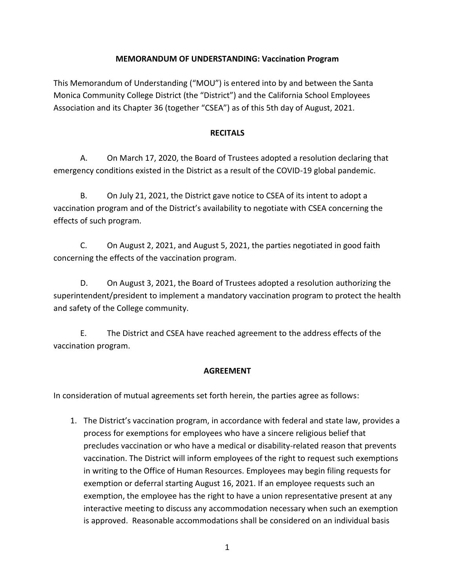## **MEMORANDUM OF UNDERSTANDING: Vaccination Program**

This Memorandum of Understanding ("MOU") is entered into by and between the Santa Monica Community College District (the "District") and the California School Employees Association and its Chapter 36 (together "CSEA") as of this 5th day of August, 2021.

## **RECITALS**

A. On March 17, 2020, the Board of Trustees adopted a resolution declaring that emergency conditions existed in the District as a result of the COVID-19 global pandemic.

B. On July 21, 2021, the District gave notice to CSEA of its intent to adopt a vaccination program and of the District's availability to negotiate with CSEA concerning the effects of such program.

C. On August 2, 2021, and August 5, 2021, the parties negotiated in good faith concerning the effects of the vaccination program.

D. On August 3, 2021, the Board of Trustees adopted a resolution authorizing the superintendent/president to implement a mandatory vaccination program to protect the health and safety of the College community.

E. The District and CSEA have reached agreement to the address effects of the vaccination program.

## **AGREEMENT**

In consideration of mutual agreements set forth herein, the parties agree as follows:

1. The District's vaccination program, in accordance with federal and state law, provides a process for exemptions for employees who have a sincere religious belief that precludes vaccination or who have a medical or disability-related reason that prevents vaccination. The District will inform employees of the right to request such exemptions in writing to the Office of Human Resources. Employees may begin filing requests for exemption or deferral starting August 16, 2021. If an employee requests such an exemption, the employee has the right to have a union representative present at any interactive meeting to discuss any accommodation necessary when such an exemption is approved. Reasonable accommodations shall be considered on an individual basis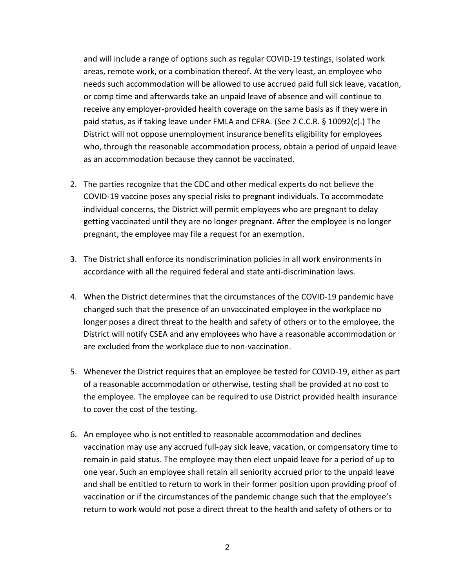and will include a range of options such as regular COVID-19 testings, isolated work areas, remote work, or a combination thereof. At the very least, an employee who needs such accommodation will be allowed to use accrued paid full sick leave, vacation, or comp time and afterwards take an unpaid leave of absence and will continue to receive any employer-provided health coverage on the same basis as if they were in paid status, as if taking leave under FMLA and CFRA. (See 2 C.C.R. § 10092(c).) The District will not oppose unemployment insurance benefits eligibility for employees who, through the reasonable accommodation process, obtain a period of unpaid leave as an accommodation because they cannot be vaccinated.

- 2. The parties recognize that the CDC and other medical experts do not believe the COVID-19 vaccine poses any special risks to pregnant individuals. To accommodate individual concerns, the District will permit employees who are pregnant to delay getting vaccinated until they are no longer pregnant. After the employee is no longer pregnant, the employee may file a request for an exemption.
- 3. The District shall enforce its nondiscrimination policies in all work environments in accordance with all the required federal and state anti-discrimination laws.
- 4. When the District determines that the circumstances of the COVID-19 pandemic have changed such that the presence of an unvaccinated employee in the workplace no longer poses a direct threat to the health and safety of others or to the employee, the District will notify CSEA and any employees who have a reasonable accommodation or are excluded from the workplace due to non-vaccination.
- 5. Whenever the District requires that an employee be tested for COVID-19, either as part of a reasonable accommodation or otherwise, testing shall be provided at no cost to the employee. The employee can be required to use District provided health insurance to cover the cost of the testing.
- 6. An employee who is not entitled to reasonable accommodation and declines vaccination may use any accrued full-pay sick leave, vacation, or compensatory time to remain in paid status. The employee may then elect unpaid leave for a period of up to one year. Such an employee shall retain all seniority accrued prior to the unpaid leave and shall be entitled to return to work in their former position upon providing proof of vaccination or if the circumstances of the pandemic change such that the employee's return to work would not pose a direct threat to the health and safety of others or to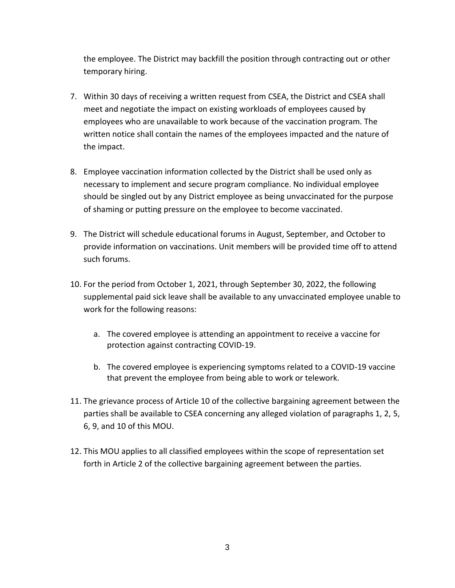the employee. The District may backfill the position through contracting out or other temporary hiring.

- 7. Within 30 days of receiving a written request from CSEA, the District and CSEA shall meet and negotiate the impact on existing workloads of employees caused by employees who are unavailable to work because of the vaccination program. The written notice shall contain the names of the employees impacted and the nature of the impact.
- 8. Employee vaccination information collected by the District shall be used only as necessary to implement and secure program compliance. No individual employee should be singled out by any District employee as being unvaccinated for the purpose of shaming or putting pressure on the employee to become vaccinated.
- 9. The District will schedule educational forums in August, September, and October to provide information on vaccinations. Unit members will be provided time off to attend such forums.
- 10. For the period from October 1, 2021, through September 30, 2022, the following supplemental paid sick leave shall be available to any unvaccinated employee unable to work for the following reasons:
	- a. The covered employee is attending an appointment to receive a vaccine for protection against contracting COVID-19.
	- b. The covered employee is experiencing symptoms related to a COVID-19 vaccine that prevent the employee from being able to work or telework.
- 11. The grievance process of Article 10 of the collective bargaining agreement between the parties shall be available to CSEA concerning any alleged violation of paragraphs 1, 2, 5, 6, 9, and 10 of this MOU.
- 12. This MOU applies to all classified employees within the scope of representation set forth in Article 2 of the collective bargaining agreement between the parties.